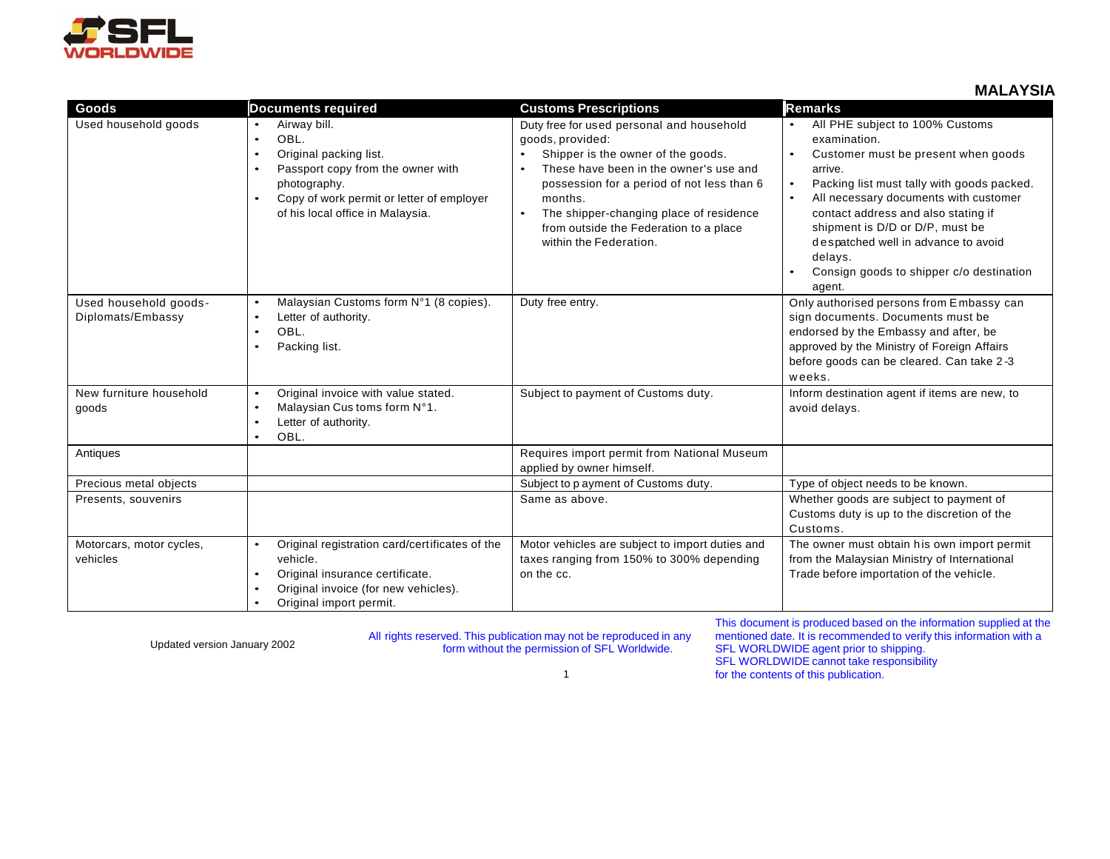

**MALAYSIA**

| Goods                                      | <b>Documents required</b>                                                                                                                                                                                                   | <b>Customs Prescriptions</b>                                                                                                                                                                                                                                                                                                                    | <b>Remarks</b>                                                                                                                                                                                                                                                                                                                                                                                       |
|--------------------------------------------|-----------------------------------------------------------------------------------------------------------------------------------------------------------------------------------------------------------------------------|-------------------------------------------------------------------------------------------------------------------------------------------------------------------------------------------------------------------------------------------------------------------------------------------------------------------------------------------------|------------------------------------------------------------------------------------------------------------------------------------------------------------------------------------------------------------------------------------------------------------------------------------------------------------------------------------------------------------------------------------------------------|
| Used household goods                       | Airway bill.<br>OBL.<br>$\bullet$<br>Original packing list.<br>$\bullet$<br>Passport copy from the owner with<br>$\bullet$<br>photography.<br>Copy of work permit or letter of employer<br>of his local office in Malaysia. | Duty free for used personal and household<br>goods, provided:<br>Shipper is the owner of the goods.<br>These have been in the owner's use and<br>$\bullet$<br>possession for a period of not less than 6<br>months.<br>The shipper-changing place of residence<br>$\bullet$<br>from outside the Federation to a place<br>within the Federation. | All PHE subject to 100% Customs<br>examination.<br>Customer must be present when goods<br>$\bullet$<br>arrive.<br>Packing list must tally with goods packed.<br>All necessary documents with customer<br>$\bullet$<br>contact address and also stating if<br>shipment is D/D or D/P, must be<br>despatched well in advance to avoid<br>delays.<br>Consign goods to shipper c/o destination<br>agent. |
| Used household goods-<br>Diplomats/Embassy | Malaysian Customs form N°1 (8 copies).<br>$\bullet$<br>Letter of authority.<br>$\bullet$<br>OBL.<br>Packing list.                                                                                                           | Duty free entry.                                                                                                                                                                                                                                                                                                                                | Only authorised persons from Embassy can<br>sign documents. Documents must be<br>endorsed by the Embassy and after, be<br>approved by the Ministry of Foreign Affairs<br>before goods can be cleared. Can take 2-3<br>weeks.                                                                                                                                                                         |
| New furniture household<br>goods           | Original invoice with value stated.<br>$\bullet$<br>Malaysian Cus toms form N°1.<br>$\bullet$<br>Letter of authority.<br>$\bullet$<br>OBL.                                                                                  | Subject to payment of Customs duty.                                                                                                                                                                                                                                                                                                             | Inform destination agent if items are new, to<br>avoid delays.                                                                                                                                                                                                                                                                                                                                       |
| Antiques                                   |                                                                                                                                                                                                                             | Requires import permit from National Museum<br>applied by owner himself.                                                                                                                                                                                                                                                                        |                                                                                                                                                                                                                                                                                                                                                                                                      |
| Precious metal objects                     |                                                                                                                                                                                                                             | Subject to p ayment of Customs duty.                                                                                                                                                                                                                                                                                                            | Type of object needs to be known.                                                                                                                                                                                                                                                                                                                                                                    |
| Presents, souvenirs                        |                                                                                                                                                                                                                             | Same as above.                                                                                                                                                                                                                                                                                                                                  | Whether goods are subject to payment of<br>Customs duty is up to the discretion of the<br>Customs.                                                                                                                                                                                                                                                                                                   |
| Motorcars, motor cycles,<br>vehicles       | Original registration card/certificates of the<br>$\bullet$<br>vehicle.<br>Original insurance certificate.<br>$\bullet$<br>Original invoice (for new vehicles).<br>Original import permit.                                  | Motor vehicles are subject to import duties and<br>taxes ranging from 150% to 300% depending<br>on the cc.                                                                                                                                                                                                                                      | The owner must obtain his own import permit<br>from the Malaysian Ministry of International<br>Trade before importation of the vehicle.                                                                                                                                                                                                                                                              |

Updated version January 2002 All rights reserved. This publication may not be reproduced in any form without the permission of SFL Worldwide.

This document is produced based on the information supplied at the mentioned date. It is recommended to verify this information with a SFL WORLDWIDE agent prior to shipping. SFL WORLDWIDE cannot take responsibility for the contents of this publication.

1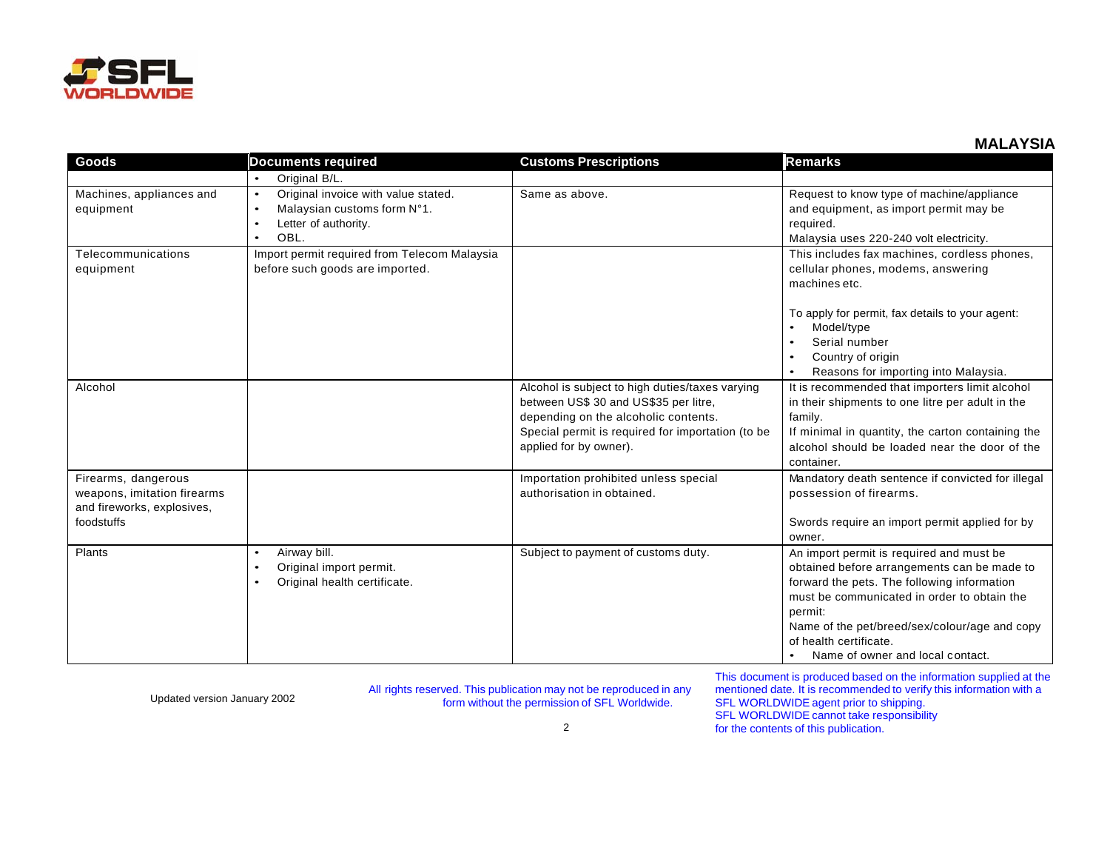

## **MALAYSIA**

| Goods                                                                                          | <b>Documents required</b>                                                                                                                              | <b>Customs Prescriptions</b>                                                                                                                                                                                    | <b>Remarks</b>                                                                                                                                                                                                                                                                                                  |
|------------------------------------------------------------------------------------------------|--------------------------------------------------------------------------------------------------------------------------------------------------------|-----------------------------------------------------------------------------------------------------------------------------------------------------------------------------------------------------------------|-----------------------------------------------------------------------------------------------------------------------------------------------------------------------------------------------------------------------------------------------------------------------------------------------------------------|
|                                                                                                | Original B/L.<br>$\bullet$                                                                                                                             |                                                                                                                                                                                                                 |                                                                                                                                                                                                                                                                                                                 |
| Machines, appliances and<br>equipment                                                          | Original invoice with value stated.<br>$\bullet$<br>Malaysian customs form N°1.<br>$\bullet$<br>Letter of authority.<br>$\bullet$<br>OBL.<br>$\bullet$ | Same as above.                                                                                                                                                                                                  | Request to know type of machine/appliance<br>and equipment, as import permit may be<br>required.<br>Malaysia uses 220-240 volt electricity.                                                                                                                                                                     |
| Telecommunications<br>equipment                                                                | Import permit required from Telecom Malaysia<br>before such goods are imported.                                                                        |                                                                                                                                                                                                                 | This includes fax machines, cordless phones,<br>cellular phones, modems, answering<br>machines etc.                                                                                                                                                                                                             |
|                                                                                                |                                                                                                                                                        |                                                                                                                                                                                                                 | To apply for permit, fax details to your agent:<br>Model/type<br>Serial number<br>Country of origin<br>Reasons for importing into Malaysia.                                                                                                                                                                     |
| Alcohol                                                                                        |                                                                                                                                                        | Alcohol is subject to high duties/taxes varying<br>between US\$ 30 and US\$35 per litre,<br>depending on the alcoholic contents.<br>Special permit is required for importation (to be<br>applied for by owner). | It is recommended that importers limit alcohol<br>in their shipments to one litre per adult in the<br>family.<br>If minimal in quantity, the carton containing the<br>alcohol should be loaded near the door of the<br>container.                                                                               |
| Firearms, dangerous<br>weapons, imitation firearms<br>and fireworks, explosives,<br>foodstuffs |                                                                                                                                                        | Importation prohibited unless special<br>authorisation in obtained.                                                                                                                                             | Mandatory death sentence if convicted for illegal<br>possession of firearms.<br>Swords require an import permit applied for by<br>owner.                                                                                                                                                                        |
| Plants                                                                                         | Airway bill.<br>$\bullet$<br>Original import permit.<br>$\bullet$<br>Original health certificate.<br>$\bullet$                                         | Subject to payment of customs duty.                                                                                                                                                                             | An import permit is required and must be<br>obtained before arrangements can be made to<br>forward the pets. The following information<br>must be communicated in order to obtain the<br>permit:<br>Name of the pet/breed/sex/colour/age and copy<br>of health certificate.<br>Name of owner and local contact. |

Updated version January 2002 All rights reserved. This publication may not be reproduced in any form without the permission of SFL Worldwide.

This document is produced based on the information supplied at the mentioned date. It is recommended to verify this information with a SFL WORLDWIDE agent prior to shipping. SFL WORLDWIDE cannot take responsibility for the contents of this publication.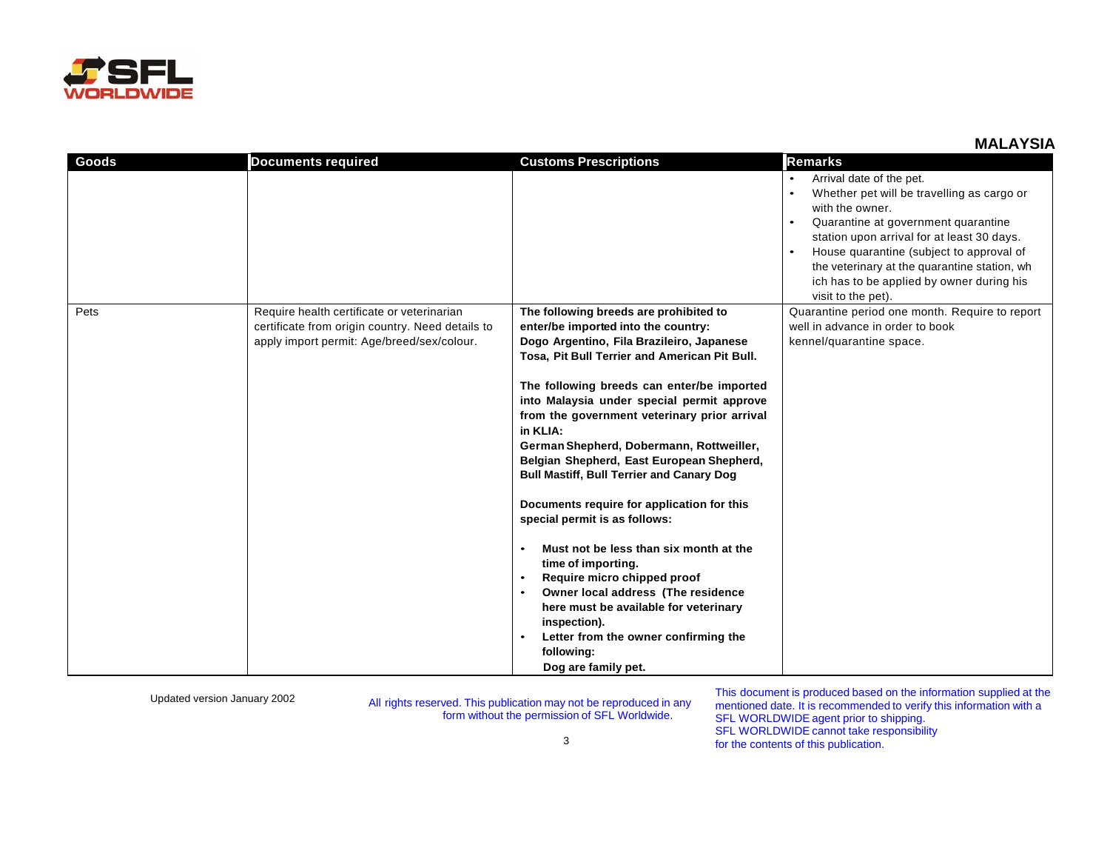

| <b>MALAYSIA</b> |  |  |
|-----------------|--|--|
|-----------------|--|--|

| Goods | <b>Documents required</b>                        | <b>Customs Prescriptions</b>                                                             | <b>Remarks</b>                                                                                                                                                                                                                                                                                                                                |
|-------|--------------------------------------------------|------------------------------------------------------------------------------------------|-----------------------------------------------------------------------------------------------------------------------------------------------------------------------------------------------------------------------------------------------------------------------------------------------------------------------------------------------|
|       |                                                  |                                                                                          | Arrival date of the pet.<br>Whether pet will be travelling as cargo or<br>with the owner.<br>Quarantine at government quarantine<br>station upon arrival for at least 30 days.<br>House quarantine (subject to approval of<br>the veterinary at the quarantine station, wh<br>ich has to be applied by owner during his<br>visit to the pet). |
| Pets  | Require health certificate or veterinarian       | The following breeds are prohibited to                                                   | Quarantine period one month. Require to report                                                                                                                                                                                                                                                                                                |
|       | certificate from origin country. Need details to | enter/be imported into the country:                                                      | well in advance in order to book                                                                                                                                                                                                                                                                                                              |
|       | apply import permit: Age/breed/sex/colour.       | Dogo Argentino, Fila Brazileiro, Japanese                                                | kennel/quarantine space.                                                                                                                                                                                                                                                                                                                      |
|       |                                                  | Tosa, Pit Bull Terrier and American Pit Bull.                                            |                                                                                                                                                                                                                                                                                                                                               |
|       |                                                  | The following breeds can enter/be imported                                               |                                                                                                                                                                                                                                                                                                                                               |
|       |                                                  | into Malaysia under special permit approve                                               |                                                                                                                                                                                                                                                                                                                                               |
|       |                                                  | from the government veterinary prior arrival                                             |                                                                                                                                                                                                                                                                                                                                               |
|       |                                                  | in KLIA:                                                                                 |                                                                                                                                                                                                                                                                                                                                               |
|       |                                                  | German Shepherd, Dobermann, Rottweiller,                                                 |                                                                                                                                                                                                                                                                                                                                               |
|       |                                                  | Belgian Shepherd, East European Shepherd,                                                |                                                                                                                                                                                                                                                                                                                                               |
|       |                                                  | <b>Bull Mastiff, Bull Terrier and Canary Dog</b>                                         |                                                                                                                                                                                                                                                                                                                                               |
|       |                                                  | Documents require for application for this                                               |                                                                                                                                                                                                                                                                                                                                               |
|       |                                                  | special permit is as follows:                                                            |                                                                                                                                                                                                                                                                                                                                               |
|       |                                                  | Must not be less than six month at the<br>$\bullet$                                      |                                                                                                                                                                                                                                                                                                                                               |
|       |                                                  | time of importing.                                                                       |                                                                                                                                                                                                                                                                                                                                               |
|       |                                                  | Require micro chipped proof                                                              |                                                                                                                                                                                                                                                                                                                                               |
|       |                                                  | Owner local address (The residence<br>$\bullet$<br>here must be available for veterinary |                                                                                                                                                                                                                                                                                                                                               |
|       |                                                  | inspection).                                                                             |                                                                                                                                                                                                                                                                                                                                               |
|       |                                                  | Letter from the owner confirming the                                                     |                                                                                                                                                                                                                                                                                                                                               |
|       |                                                  | following:                                                                               |                                                                                                                                                                                                                                                                                                                                               |
|       |                                                  | Dog are family pet.                                                                      |                                                                                                                                                                                                                                                                                                                                               |

Updated version January 2002 All rights reserved. This publication may not be reproduced in any form without the permission of SFL Worldwide.

This document is produced based on the information supplied at the mentioned date. It is recommended to verify this information with a SFL WORLDWIDE agent prior to shipping. SFL WORLDWIDE cannot take responsibility for the contents of this publication.